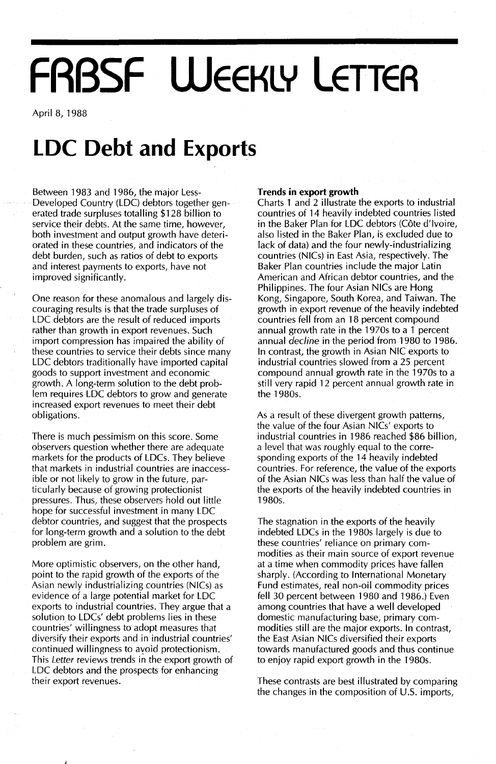# **FRBSF WEEKLY LETTER**

April 8, 1988

### **LDC Debt and Exports**

Between 1983 and 1986, the major Less-Developed Country (LDC) debtors together generated trade surpluses totalling \$128 billion to service their debts. At the same time, however, both investment and output growth have deteriorated in these countries, and indicators of the debt burden, such as ratios of debt to exports and interest payments to exports, have not improved significantly.

One reason for these anomalous and largely discouraging results is that the trade surpluses of LDC debtors are the result of reduced imports rather than growth in export revenues. Such import compression has impaired the ability of these countries to service their debts since many LDC debtors traditionally have imported capital goods to support investment and economic growth. A long-term solution to the debt problem requires LDC debtors to grow and generate increased export revenues to meet their debt obligations.

There is much pessimism on this score. Some observers question whether there are adequate markets for the products of LDCs. They believe that markets in industrial countries are inaccessible or not likely to grow in the future, particularly because of growing protectionist pressures. Thus, these observers hold out little hope for successful investment in many LDC debtor countries, and suggest that the prospects for long-term growth and a solution to the debt problem are grim.

More optimistic observers, on the other hand, point to the rapid growth of the exports of the Asian newly industrializing countries (NICs) as evidence of a large potential market for LDC exports to industrial countries. They argue that a solution to LDCs' debt problems lies in these countries' willingness to adopt measures that diversify their exports and in industrial countries' continued willingness to ayoid protectionism. This *Letter* reviews trends in the export growth of LDC debtors and the prospects for enhancing their export revenues.

#### **Trends in export growth**

Charts 1 and 2 illustrate the exports to industrial countries of 14 heavily indebted countries listed in the Baker Plan for LDC debtors (Côte d'Ivoire, also listed in the Baker Plan, is excluded due to lack of data) and the four newly-industrializing countries (NICs) in East Asia, respectively. The Baker Plan countries include the major Latin American and African debtor countries, and the Philippines. The four Asian NICs are Hong Kong, Singapore, South Korea, and Taiwan. The growth in export revenue of the heavily indebted countries fell from an 18 percent compound annual growth rate in the 1970s to a 1 percent annual *decline* in the period from 1980 to 1986. In contrast, the growth in Asian NIC exports to industrial countries slowed from a 25 percent compound annual growth rate in the 1970s to a still very rapid 12 percent annual growth rate in the 1980s.

As a result of these divergent growth patterns, the value of the four Asian NICs' exports to industrial countries in 1986 reached \$86 billion, a level that was roughly equal to the corresponding exports of the 14 heavily indebted countries. For reference, the value of the exports of the Asian NICs was less than half the value of the exports of the heavily indebted countries in 1980s.

The stagnation in the exports of the heavily indebted LDCs in the 1980s largely is due to these countries' reliance on primary commodities as their main source of export revenue at a time when commodity prices have fallen sharply. (According to International Monetary Fund estimates, real non-oil commodity prices fell 30 percent between 1980 and 1986.) Even among countries that have a well developed domestic manufacturing base, primary commodities still are the major exports. In contrast, the East Asian NICs diversified their exports towards manufactured goods and thus continue to enjoy rapid export growth in the 1980s.

These contrasts are best illustrated by comparing the changes in the composition of  $U.S.$  imports,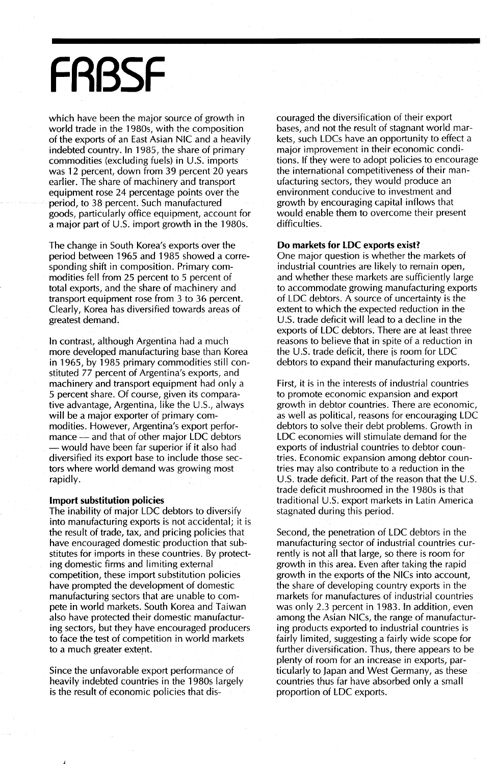## **FRBSF**

which have been the major source of growth in world trade in the 1980s, with the composition of the exports of an East Asian NIC and a heavily indebted country. In 1985, the share of primary commodities (excluding fuels) in U.S. imports was 12 percent, down from 39 percent 20 years earlier. The share of machinery and transport equipment rose 24 percentage points over the period, to 38 percent. Such manufactured goods, particularly office equipment, account for a major part of U.S. import growth in the 1980s.

The change in South Korea's exports over the period between 1965 and 1985 showed a corresponding shift in composition. Primary commodities fell from 25 percent to 5 percent of total exports, and the share of machinery and transport equipment rose from 3 to 36 percent. Clearly, Korea has diversified towards areas of greatest demand.

In contrast, although Argentina had a much more developed manufacturing base than Korea in 1965, by 1985 primary commodities still constituted 77 percent of Argentina's exports, and machinery and transport equipment had only a 5 percent share. Of course, given its comparative advantage, Argentina, like the U.s., always will be a major exporter of primary commodities. However, Argentina's export performance - and that of other major LDC debtors - would have been far superior if it also had diversified its export base to include those sectors where world demand was growing most rapidly.

#### **Import substitution policies**

The inability of major LDC debtors to diversify into manufacturing exports is not accidental; it is the result of trade, tax, and pricing policies that have encouraged domestic production that substitutes for imports in these countries. By protecting domestic firms and limiting external competition, these import substitution policies have prompted the development of domestic manufacturing sectors that are unable to compete in world markets. South Korea and Taiwan also have protected their domestic manufacturing sectors, but they have encouraged producers to face the test of competition in world markets to a much greater extent.

Since the unfavorable export performance of heavily indebted countries in the 1980s largely is the result of economic policies that discouraged the diversification of their export bases, and not the result of stagnant world markets, such LDCs have an opportunity to effect a major improvement in their economic conditions. If they were to adopt policies to encourage the international competitiveness of their manufacturing sectors, they would produce an environment conducive to investment and growth by encouraging capital inflows that would enable them to overcome their present difficulties.

#### **Do markets for tDe exports exist?**

One major question is whether the markets of industrial countries are likely to remain open, and whether these markets are sufficiently large to accommodate growing manufacturing exports of LDC debtors. A source of uncertainty is the extent to which the expected reduction in the U.S. trade deficit will lead to a decline in the exports of LDC debtors. There are at least three reasons to believe that in spite of a reduction in the U.S. trade deficit, there is room for LDC debtors to expand their manufacturing exports.

First, it is in the interests of industrial countries to promote economic expansion and export growth in debtor countries. There are economic, as well as political, reasons for encouraging LDC debtors to solve their debt problems. Growth in LDC economies will stimulate demand for the exports of industrial countries to debtor countries. Economic expansion among debtor countries may also contribute to a reduction in the U.s. trade deficit. Part of the reason that the U.S. trade deficit mushroomed in the 1980s is that traditional U.S. export markets in Latin America stagnated during this period.

Second, the penetration of LDC debtors in the manufacturing sector of industrial countries currently is not all that large, so there is room for growth in this area. Even after taking the rapid growth in the exports of the NICs into account, the share of developing country exports in the markets for manufactures of industrial countries was only 2.3 percent in 1983. In addition, even among the Asian NICs, the range of manufacturing products exported to industrial countries is fairly limited, suggesting a fairly wide scope for further diversification. Thus, there appears to be plenty of room for an increase in exports, particularly to Japan and West Germany, as these countries thus far have absorbed only a small proportion of LDC exports.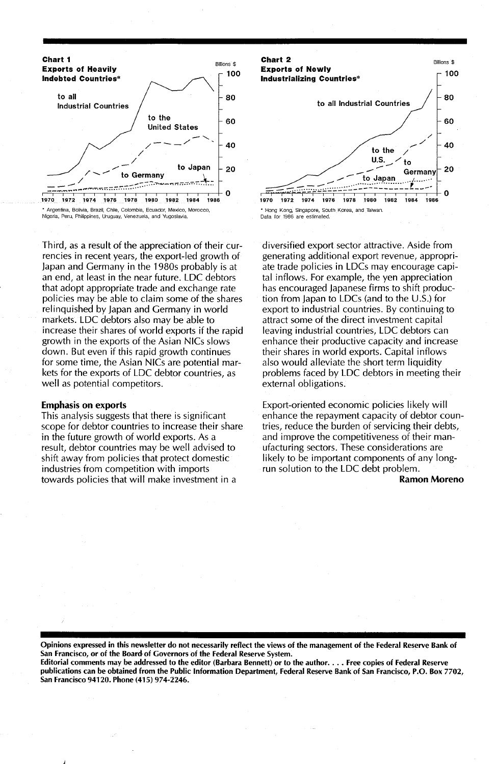

Third, as a result of the appreciation of their currencies in recent years, the export-led growth of Japan and Germany in the 1980s probably is at an end, at least in the near future. LDC debtors that adopt appropriate trade and exchange rate policies may be able to claim some of the shares relinguished by Japan and Germany in world markets. LDC debtors also may be able to increase their shares of world exports if the rapid growth in the exports of the Asian NICs slows down. But even if this rapid growth continues for some time, the Asian NICs are potential markets for the exports of LDC debtor countries, as well as potential competitors.

#### **Emphasis on exports**

This analysis suggests that there is significant scope for debtor countries to increase their share in the future growth of world exports. As a result, debtor countries may be well advised to shift away from policies that protect domestic industries from competition with imports towards policies that will make investment in a



diversified export sector attractive. Aside from generating additional export revenue, appropriate trade policies in LDCs may encourage capital inflows. For example, the yen appreciation has encouraged Japanese firms to shift production from Japan to LDCs (and to the U.S.) for export to industrial countries. By continuing to attract some of the direct investment capital leaving industrial countries, LDC debtors can enhance their productive capacity and increase their shares in world exports. Capital inflows also would alleviate the short term liquidity problems faced by LDC debtors in meeting their external obligations.

Export-oriented economic policies likely will enhance the repayment capacity of debtor countries, reduce the burden of servicing their debts, and improve the competitiveness of their manufacturing sectors. These considerations are likely to be important components of any longrun solution to the LDC debt problem.

#### **Ramon Moreno**

Opinions expressed in this newsletter do not necessarily reflect the views of the management of the Federal Reserve Bank of San Francisco, or of the Board of Governors of the Federal Reserve System.

Editorial comments may be addressed to the editor (Barbara Bennett) or to the author. . . . Free copies of Federal Reserve publications can be obtained from the Public Information Department, Federal Reserve Bank of San Francisco, P.O. Box 7702, San Francisco 94120. Phone (415) 974-2246.